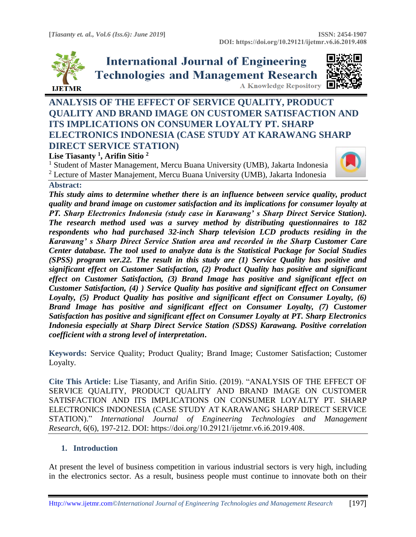

# **International Journal of Engineering Technologies and Management Research A Knowledge Repository**



## **ANALYSIS OF THE EFFECT OF SERVICE QUALITY, PRODUCT QUALITY AND BRAND IMAGE ON CUSTOMER SATISFACTION AND ITS IMPLICATIONS ON CONSUMER LOYALTY PT. SHARP ELECTRONICS INDONESIA (CASE STUDY AT KARAWANG SHARP DIRECT SERVICE STATION)**

## **Lise Tiasanty <sup>1</sup> , Arifin Sitio <sup>2</sup>**

<sup>1</sup> Student of Master Management, Mercu Buana University (UMB), Jakarta Indonesia <sup>2</sup> Lecture of Master Manajement, Mercu Buana University (UMB), Jakarta Indonesia



## **Abstract:**

*This study aims to determine whether there is an influence between service quality, product quality and brand image on customer satisfaction and its implications for consumer loyalty at PT. Sharp Electronics Indonesia (study case in Karawang' s Sharp Direct Service Station). The research method used was a survey method by distributing questionnaires to 182 respondents who had purchased 32-inch Sharp television LCD products residing in the Karawang' s Sharp Direct Service Station area and recorded in the Sharp Customer Care Center database. The tool used to analyze data is the Statistical Package for Social Studies (SPSS) program ver.22. The result in this study are (1) Service Quality has positive and significant effect on Customer Satisfaction, (2) Product Quality has positive and significant effect on Customer Satisfaction, (3) Brand Image has positive and significant effect on Customer Satisfaction, (4) ) Service Quality has positive and significant effect on Consumer Loyalty, (5) Product Quality has positive and significant effect on Consumer Loyalty, (6) Brand Image has positive and significant effect on Consumer Loyalty, (7) Customer Satisfaction has positive and significant effect on Consumer Loyalty at PT. Sharp Electronics Indonesia especially at Sharp Direct Service Station (SDSS) Karawang. Positive correlation coefficient with a strong level of interpretation***.**

**Keywords:** Service Quality; Product Quality; Brand Image; Customer Satisfaction; Customer Loyalty*.* 

**Cite This Article:** Lise Tiasanty, and Arifin Sitio. (2019). "ANALYSIS OF THE EFFECT OF SERVICE QUALITY, PRODUCT QUALITY AND BRAND IMAGE ON CUSTOMER SATISFACTION AND ITS IMPLICATIONS ON CONSUMER LOYALTY PT. SHARP ELECTRONICS INDONESIA (CASE STUDY AT KARAWANG SHARP DIRECT SERVICE STATION)." *International Journal of Engineering Technologies and Management Research,* 6(6), 197-212. DOI: https://doi.org/10.29121/ijetmr.v6.i6.2019.408.

## **1. Introduction**

At present the level of business competition in various industrial sectors is very high, including in the electronics sector. As a result, business people must continue to innovate both on their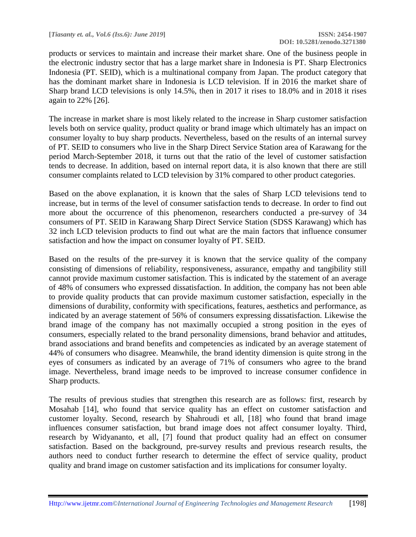products or services to maintain and increase their market share. One of the business people in the electronic industry sector that has a large market share in Indonesia is PT. Sharp Electronics Indonesia (PT. SEID), which is a multinational company from Japan. The product category that has the dominant market share in Indonesia is LCD television. If in 2016 the market share of Sharp brand LCD televisions is only 14.5%, then in 2017 it rises to 18.0% and in 2018 it rises again to 22% [26].

The increase in market share is most likely related to the increase in Sharp customer satisfaction levels both on service quality, product quality or brand image which ultimately has an impact on consumer loyalty to buy sharp products. Nevertheless, based on the results of an internal survey of PT. SEID to consumers who live in the Sharp Direct Service Station area of Karawang for the period March-September 2018, it turns out that the ratio of the level of customer satisfaction tends to decrease. In addition, based on internal report data, it is also known that there are still consumer complaints related to LCD television by 31% compared to other product categories.

Based on the above explanation, it is known that the sales of Sharp LCD televisions tend to increase, but in terms of the level of consumer satisfaction tends to decrease. In order to find out more about the occurrence of this phenomenon, researchers conducted a pre-survey of 34 consumers of PT. SEID in Karawang Sharp Direct Service Station (SDSS Karawang) which has 32 inch LCD television products to find out what are the main factors that influence consumer satisfaction and how the impact on consumer loyalty of PT. SEID.

Based on the results of the pre-survey it is known that the service quality of the company consisting of dimensions of reliability, responsiveness, assurance, empathy and tangibility still cannot provide maximum customer satisfaction. This is indicated by the statement of an average of 48% of consumers who expressed dissatisfaction. In addition, the company has not been able to provide quality products that can provide maximum customer satisfaction, especially in the dimensions of durability, conformity with specifications, features, aesthetics and performance, as indicated by an average statement of 56% of consumers expressing dissatisfaction. Likewise the brand image of the company has not maximally occupied a strong position in the eyes of consumers, especially related to the brand personality dimensions, brand behavior and attitudes, brand associations and brand benefits and competencies as indicated by an average statement of 44% of consumers who disagree. Meanwhile, the brand identity dimension is quite strong in the eyes of consumers as indicated by an average of 71% of consumers who agree to the brand image. Nevertheless, brand image needs to be improved to increase consumer confidence in Sharp products.

The results of previous studies that strengthen this research are as follows: first, research by Mosahab [14], who found that service quality has an effect on customer satisfaction and customer loyalty. Second, research by Shahroudi et all, [18] who found that brand image influences consumer satisfaction, but brand image does not affect consumer loyalty. Third, research by Widyananto, et all, [7] found that product quality had an effect on consumer satisfaction. Based on the background, pre-survey results and previous research results, the authors need to conduct further research to determine the effect of service quality, product quality and brand image on customer satisfaction and its implications for consumer loyalty.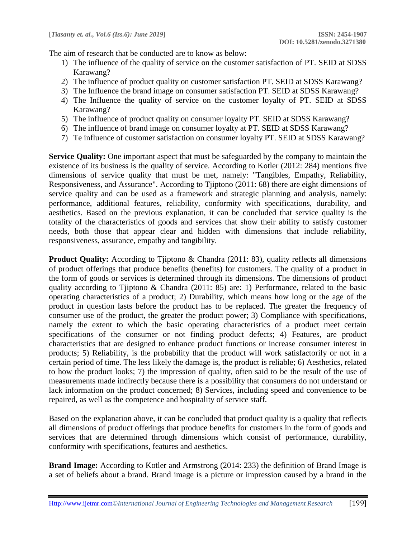The aim of research that be conducted are to know as below:

- 1) The influence of the quality of service on the customer satisfaction of PT. SEID at SDSS Karawang?
- 2) The influence of product quality on customer satisfaction PT. SEID at SDSS Karawang?
- 3) The Influence the brand image on consumer satisfaction PT. SEID at SDSS Karawang?
- 4) The Influence the quality of service on the customer loyalty of PT. SEID at SDSS Karawang?
- 5) The influence of product quality on consumer loyalty PT. SEID at SDSS Karawang?
- 6) The influence of brand image on consumer loyalty at PT. SEID at SDSS Karawang?
- 7) Te influence of customer satisfaction on consumer loyalty PT. SEID at SDSS Karawang?

**Service Quality:** One important aspect that must be safeguarded by the company to maintain the existence of its business is the quality of service. According to Kotler (2012: 284) mentions five dimensions of service quality that must be met, namely: "Tangibles, Empathy, Reliability, Responsiveness, and Assurance". According to Tjiptono (2011: 68) there are eight dimensions of service quality and can be used as a framework and strategic planning and analysis, namely: performance, additional features, reliability, conformity with specifications, durability, and aesthetics. Based on the previous explanation, it can be concluded that service quality is the totality of the characteristics of goods and services that show their ability to satisfy customer needs, both those that appear clear and hidden with dimensions that include reliability, responsiveness, assurance, empathy and tangibility.

**Product Quality:** According to Tjiptono & Chandra (2011: 83), quality reflects all dimensions of product offerings that produce benefits (benefits) for customers. The quality of a product in the form of goods or services is determined through its dimensions. The dimensions of product quality according to Tjiptono & Chandra (2011: 85) are: 1) Performance, related to the basic operating characteristics of a product; 2) Durability, which means how long or the age of the product in question lasts before the product has to be replaced. The greater the frequency of consumer use of the product, the greater the product power; 3) Compliance with specifications, namely the extent to which the basic operating characteristics of a product meet certain specifications of the consumer or not finding product defects; 4) Features, are product characteristics that are designed to enhance product functions or increase consumer interest in products; 5) Reliability, is the probability that the product will work satisfactorily or not in a certain period of time. The less likely the damage is, the product is reliable; 6) Aesthetics, related to how the product looks; 7) the impression of quality, often said to be the result of the use of measurements made indirectly because there is a possibility that consumers do not understand or lack information on the product concerned; 8) Services, including speed and convenience to be repaired, as well as the competence and hospitality of service staff.

Based on the explanation above, it can be concluded that product quality is a quality that reflects all dimensions of product offerings that produce benefits for customers in the form of goods and services that are determined through dimensions which consist of performance, durability, conformity with specifications, features and aesthetics.

**Brand Image:** According to Kotler and Armstrong (2014: 233) the definition of Brand Image is a set of beliefs about a brand. Brand image is a picture or impression caused by a brand in the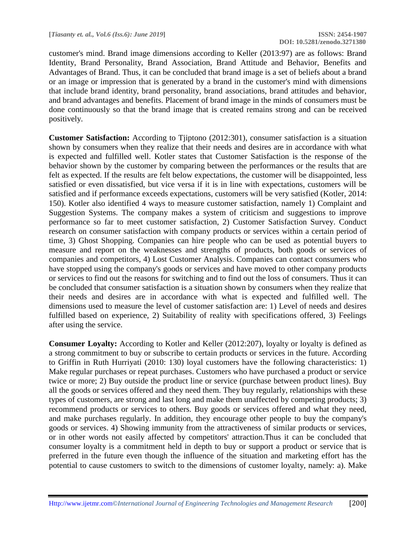customer's mind. Brand image dimensions according to Keller (2013:97) are as follows: Brand Identity, Brand Personality, Brand Association, Brand Attitude and Behavior, Benefits and Advantages of Brand. Thus, it can be concluded that brand image is a set of beliefs about a brand or an image or impression that is generated by a brand in the customer's mind with dimensions that include brand identity, brand personality, brand associations, brand attitudes and behavior, and brand advantages and benefits. Placement of brand image in the minds of consumers must be done continuously so that the brand image that is created remains strong and can be received positively.

**Customer Satisfaction:** According to Tjiptono (2012:301), consumer satisfaction is a situation shown by consumers when they realize that their needs and desires are in accordance with what is expected and fulfilled well. Kotler states that Customer Satisfaction is the response of the behavior shown by the customer by comparing between the performances or the results that are felt as expected. If the results are felt below expectations, the customer will be disappointed, less satisfied or even dissatisfied, but vice versa if it is in line with expectations, customers will be satisfied and if performance exceeds expectations, customers will be very satisfied (Kotler, 2014: 150). Kotler also identified 4 ways to measure customer satisfaction, namely 1) Complaint and Suggestion Systems. The company makes a system of criticism and suggestions to improve performance so far to meet customer satisfaction, 2) Customer Satisfaction Survey. Conduct research on consumer satisfaction with company products or services within a certain period of time, 3) Ghost Shopping. Companies can hire people who can be used as potential buyers to measure and report on the weaknesses and strengths of products, both goods or services of companies and competitors, 4) Lost Customer Analysis. Companies can contact consumers who have stopped using the company's goods or services and have moved to other company products or services to find out the reasons for switching and to find out the loss of consumers. Thus it can be concluded that consumer satisfaction is a situation shown by consumers when they realize that their needs and desires are in accordance with what is expected and fulfilled well. The dimensions used to measure the level of customer satisfaction are: 1) Level of needs and desires fulfilled based on experience, 2) Suitability of reality with specifications offered, 3) Feelings after using the service.

**Consumer Loyalty:** According to Kotler and Keller (2012:207), loyalty or loyalty is defined as a strong commitment to buy or subscribe to certain products or services in the future. According to Griffin in Ruth Hurriyati (2010: 130) loyal customers have the following characteristics: 1) Make regular purchases or repeat purchases. Customers who have purchased a product or service twice or more; 2) Buy outside the product line or service (purchase between product lines). Buy all the goods or services offered and they need them. They buy regularly, relationships with these types of customers, are strong and last long and make them unaffected by competing products; 3) recommend products or services to others. Buy goods or services offered and what they need, and make purchases regularly. In addition, they encourage other people to buy the company's goods or services. 4) Showing immunity from the attractiveness of similar products or services, or in other words not easily affected by competitors' attraction.Thus it can be concluded that consumer loyalty is a commitment held in depth to buy or support a product or service that is preferred in the future even though the influence of the situation and marketing effort has the potential to cause customers to switch to the dimensions of customer loyalty, namely: a). Make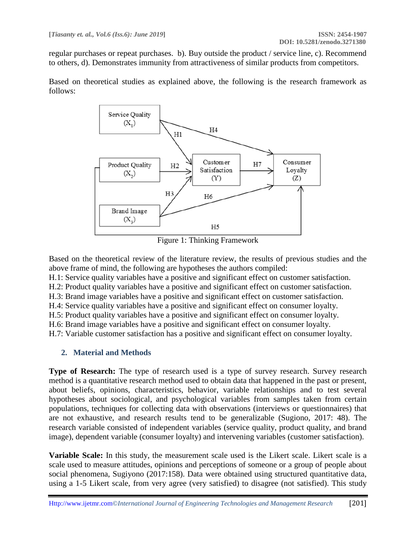regular purchases or repeat purchases. b). Buy outside the product / service line, c). Recommend to others, d). Demonstrates immunity from attractiveness of similar products from competitors.

Based on theoretical studies as explained above, the following is the research framework as follows:



Figure 1: Thinking Framework

Based on the theoretical review of the literature review, the results of previous studies and the above frame of mind, the following are hypotheses the authors compiled:

H.1: Service quality variables have a positive and significant effect on customer satisfaction.

H.2: Product quality variables have a positive and significant effect on customer satisfaction.

H.3: Brand image variables have a positive and significant effect on customer satisfaction.

H.4: Service quality variables have a positive and significant effect on consumer loyalty.

H.5: Product quality variables have a positive and significant effect on consumer loyalty.

H.6: Brand image variables have a positive and significant effect on consumer loyalty.

H.7: Variable customer satisfaction has a positive and significant effect on consumer loyalty.

## **2. Material and Methods**

**Type of Research:** The type of research used is a type of survey research. Survey research method is a quantitative research method used to obtain data that happened in the past or present, about beliefs, opinions, characteristics, behavior, variable relationships and to test several hypotheses about sociological, and psychological variables from samples taken from certain populations, techniques for collecting data with observations (interviews or questionnaires) that are not exhaustive, and research results tend to be generalizable (Sugiono, 2017: 48). The research variable consisted of independent variables (service quality, product quality, and brand image), dependent variable (consumer loyalty) and intervening variables (customer satisfaction).

**Variable Scale:** In this study, the measurement scale used is the Likert scale. Likert scale is a scale used to measure attitudes, opinions and perceptions of someone or a group of people about social phenomena, Sugiyono (2017:158). Data were obtained using structured quantitative data, using a 1-5 Likert scale, from very agree (very satisfied) to disagree (not satisfied). This study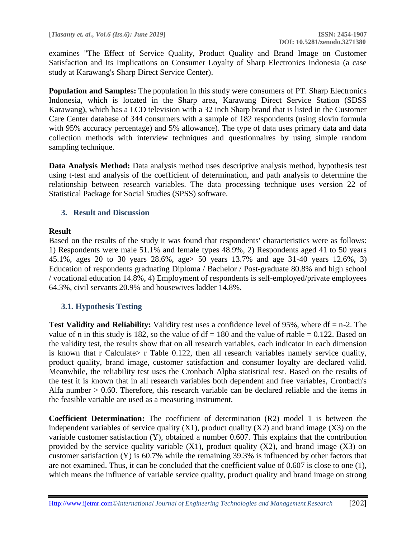examines "The Effect of Service Quality, Product Quality and Brand Image on Customer Satisfaction and Its Implications on Consumer Loyalty of Sharp Electronics Indonesia (a case study at Karawang's Sharp Direct Service Center).

**Population and Samples:** The population in this study were consumers of PT. Sharp Electronics Indonesia, which is located in the Sharp area, Karawang Direct Service Station (SDSS Karawang), which has a LCD television with a 32 inch Sharp brand that is listed in the Customer Care Center database of 344 consumers with a sample of 182 respondents (using slovin formula with 95% accuracy percentage) and 5% allowance). The type of data uses primary data and data collection methods with interview techniques and questionnaires by using simple random sampling technique.

**Data Analysis Method:** Data analysis method uses descriptive analysis method, hypothesis test using t-test and analysis of the coefficient of determination, and path analysis to determine the relationship between research variables. The data processing technique uses version 22 of Statistical Package for Social Studies (SPSS) software.

## **3. Result and Discussion**

## **Result**

Based on the results of the study it was found that respondents' characteristics were as follows: 1) Respondents were male 51.1% and female types 48.9%, 2) Respondents aged 41 to 50 years 45.1%, ages 20 to 30 years 28.6%, age> 50 years 13.7% and age 31-40 years 12.6%, 3) Education of respondents graduating Diploma / Bachelor / Post-graduate 80.8% and high school / vocational education 14.8%, 4) Employment of respondents is self-employed/private employees 64.3%, civil servants 20.9% and housewives ladder 14.8%.

## **3.1. Hypothesis Testing**

**Test Validity and Reliability:** Validity test uses a confidence level of 95%, where df = n-2. The value of n in this study is 182, so the value of  $df = 180$  and the value of rtable = 0.122. Based on the validity test, the results show that on all research variables, each indicator in each dimension is known that r Calculate  $\epsilon$  r Table 0.122, then all research variables namely service quality, product quality, brand image, customer satisfaction and consumer loyalty are declared valid. Meanwhile, the reliability test uses the Cronbach Alpha statistical test. Based on the results of the test it is known that in all research variables both dependent and free variables, Cronbach's Alfa number > 0.60. Therefore, this research variable can be declared reliable and the items in the feasible variable are used as a measuring instrument.

**Coefficient Determination:** The coefficient of determination (R2) model 1 is between the independent variables of service quality  $(X1)$ , product quality  $(X2)$  and brand image  $(X3)$  on the variable customer satisfaction (Y), obtained a number 0.607. This explains that the contribution provided by the service quality variable  $(X1)$ , product quality  $(X2)$ , and brand image  $(X3)$  on customer satisfaction (Y) is 60.7% while the remaining 39.3% is influenced by other factors that are not examined. Thus, it can be concluded that the coefficient value of 0.607 is close to one (1), which means the influence of variable service quality, product quality and brand image on strong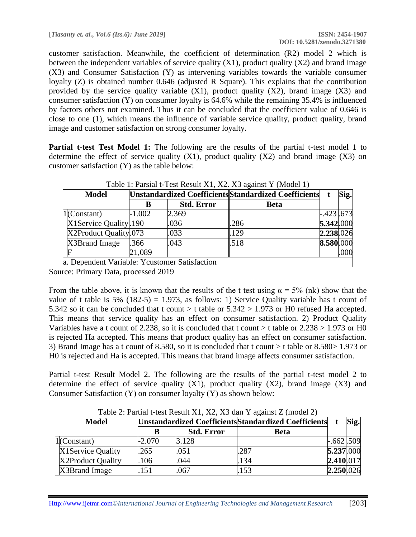customer satisfaction. Meanwhile, the coefficient of determination (R2) model 2 which is between the independent variables of service quality  $(X1)$ , product quality  $(X2)$  and brand image (X3) and Consumer Satisfaction (Y) as intervening variables towards the variable consumer loyalty (Z) is obtained number 0.646 (adjusted R Square). This explains that the contribution provided by the service quality variable  $(X1)$ , product quality  $(X2)$ , brand image  $(X3)$  and consumer satisfaction (Y) on consumer loyalty is 64.6% while the remaining 35.4% is influenced by factors others not examined. Thus it can be concluded that the coefficient value of 0.646 is close to one (1), which means the influence of variable service quality, product quality, brand image and customer satisfaction on strong consumer loyalty.

**Partial t-test Test Model 1:** The following are the results of the partial t-test model 1 to determine the effect of service quality  $(X1)$ , product quality  $(X2)$  and brand image  $(X3)$  on customer satisfaction (Y) as the table below:

| Table 1: Parsial t-Test Result X1, X2. X3 against Y (Model 1) |          |                   |                                                       |            |      |  |  |  |
|---------------------------------------------------------------|----------|-------------------|-------------------------------------------------------|------------|------|--|--|--|
| <b>Model</b>                                                  |          |                   | Unstandardized Coefficients Standardized Coefficients |            | Sig. |  |  |  |
|                                                               | В        | <b>Std. Error</b> | <b>Beta</b>                                           |            |      |  |  |  |
| $1$ (Constant)                                                | $-1.002$ | 2.369             |                                                       | $-.423673$ |      |  |  |  |
| X1Service Quality. 190                                        |          | .036              | .286                                                  | 5.342.000  |      |  |  |  |
| X2Product Quality.073                                         |          | .033              | .129                                                  | 2.238.026  |      |  |  |  |
| X3Brand Image                                                 | .366     | .043              | .518                                                  | 8.580.000  |      |  |  |  |
|                                                               | 21,089   |                   |                                                       |            | .000 |  |  |  |
| a. Dependent Variable: Ycustomer Satisfaction                 |          |                   |                                                       |            |      |  |  |  |

 $T_{\text{t}}$   $T_{\text{t}}$   $T_{\text{t}}$   $T_{\text{t}}$   $T_{\text{t}}$   $T_{\text{t}}$   $T_{\text{t}}$   $T_{\text{t}}$   $T_{\text{t}}$   $T_{\text{t}}$   $T_{\text{t}}$   $T_{\text{t}}$   $T_{\text{t}}$   $T_{\text{t}}$   $T_{\text{t}}$   $T_{\text{t}}$   $T_{\text{t}}$   $T_{\text{t}}$   $T_{\text{t}}$   $T_{\text{t}}$   $T_{\text{t}}$   $T_{\text{t}}$ 

Source: Primary Data, processed 2019

From the table above, it is known that the results of the t test using  $\alpha = 5\%$  (nk) show that the value of t table is 5% (182-5) = 1,973, as follows: 1) Service Quality variable has t count of 5.342 so it can be concluded that t count  $>$  t table or 5.342  $>$  1.973 or H0 refused Ha accepted. This means that service quality has an effect on consumer satisfaction. 2) Product Quality Variables have a t count of 2.238, so it is concluded that t count  $>$  t table or 2.238  $>$  1.973 or H0 is rejected Ha accepted. This means that product quality has an effect on consumer satisfaction. 3) Brand Image has a t count of 8.580, so it is concluded that t count > t table or 8.580> 1.973 or H0 is rejected and Ha is accepted. This means that brand image affects consumer satisfaction.

Partial t-test Result Model 2. The following are the results of the partial t-test model 2 to determine the effect of service quality  $(X1)$ , product quality  $(X2)$ , brand image  $(X3)$  and Consumer Satisfaction (Y) on consumer loyalty (Y) as shown below:

| Table 2. I althar Clest Result 211, 212, 213 dair T against 2 (filoder 2) |          |                                                       |      |              |  |  |
|---------------------------------------------------------------------------|----------|-------------------------------------------------------|------|--------------|--|--|
| <b>Model</b>                                                              |          | Unstandardized Coefficients Standardized Coefficients |      |              |  |  |
|                                                                           |          | <b>Std. Error</b>                                     | Beta |              |  |  |
| $1$ (Constant)                                                            | $-2.070$ | 3.128                                                 |      | $-.662$ .509 |  |  |
| X1Service Quality                                                         | .265     | .051                                                  | .287 | 5.237.000    |  |  |
| X2Product Quality                                                         | 106      | .044                                                  | 134  | 2.410.017    |  |  |
| X3Brand Image                                                             | 151      | .067                                                  | 153  | 2.250.026    |  |  |

Table  $2:$  Partial t-test Result X1, X2, X3 dan Y against  $Z \pmod{2}$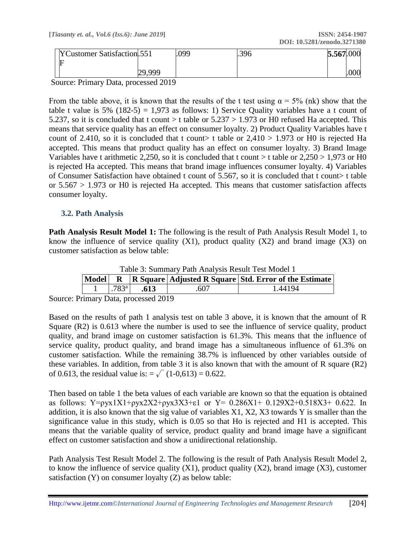| YCustomer Satisfaction. 551 |        | .099 | .396 | 5.567.000 |      |
|-----------------------------|--------|------|------|-----------|------|
|                             |        |      |      |           |      |
|                             | 29,999 |      |      |           | .000 |

Source: Primary Data, processed 2019

From the table above, it is known that the results of the t test using  $\alpha = 5\%$  (nk) show that the table t value is 5% (182-5) = 1,973 as follows: 1) Service Quality variables have a t count of 5.237, so it is concluded that t count  $>$  t table or 5.237  $>$  1.973 or H0 refused Ha accepted. This means that service quality has an effect on consumer loyalty. 2) Product Quality Variables have t count of 2.410, so it is concluded that t count> t table or  $2,410 > 1.973$  or H0 is rejected Ha accepted. This means that product quality has an effect on consumer loyalty. 3) Brand Image Variables have t arithmetic 2,250, so it is concluded that t count  $>$  t table or 2,250  $>$  1,973 or H0 is rejected Ha accepted. This means that brand image influences consumer loyalty. 4) Variables of Consumer Satisfaction have obtained t count of 5.567, so it is concluded that t count> t table or 5.567 > 1.973 or H0 is rejected Ha accepted. This means that customer satisfaction affects consumer loyalty.

## **3.2. Path Analysis**

**Path Analysis Result Model 1:** The following is the result of Path Analysis Result Model 1, to know the influence of service quality  $(X1)$ , product quality  $(X2)$  and brand image  $(X3)$  on customer satisfaction as below table:

| Table 3: Summary Path Analysis Result Test Model 1 |                     |      |      |                                                                      |  |  |  |
|----------------------------------------------------|---------------------|------|------|----------------------------------------------------------------------|--|--|--|
|                                                    |                     |      |      | Model  R   R Square   Adjusted R Square   Std. Error of the Estimate |  |  |  |
|                                                    | $.783$ <sup>a</sup> | .613 | .607 | 1.44194                                                              |  |  |  |

 $T_{\text{max}}$   $D_{\text{min}}$   $A_{\text{max}}$   $I_{\text{max}}$   $D_{\text{max}}$ 

Source: Primary Data, processed 2019

Based on the results of path 1 analysis test on table 3 above, it is known that the amount of R Square (R2) is 0.613 where the number is used to see the influence of service quality, product quality, and brand image on customer satisfaction is 61.3%. This means that the influence of service quality, product quality, and brand image has a simultaneous influence of 61.3% on customer satisfaction. While the remaining 38.7% is influenced by other variables outside of these variables. In addition, from table 3 it is also known that with the amount of R square (R2) of 0.613, the residual value is:  $=\sqrt{(1-0.613)} = 0.622$ .

Then based on table 1 the beta values of each variable are known so that the equation is obtained as follows: Y=ρyx1X1+ρyx2X2+ρyx3X3+ε1 or Y=  $0.286X1+ 0.129X2+0.518X3+ 0.622$ . In addition, it is also known that the sig value of variables X1, X2, X3 towards Y is smaller than the significance value in this study, which is 0.05 so that Ho is rejected and H1 is accepted. This means that the variable quality of service, product quality and brand image have a significant effect on customer satisfaction and show a unidirectional relationship.

Path Analysis Test Result Model 2. The following is the result of Path Analysis Result Model 2, to know the influence of service quality  $(X1)$ , product quality  $(X2)$ , brand image  $(X3)$ , customer satisfaction (Y) on consumer loyalty (Z) as below table: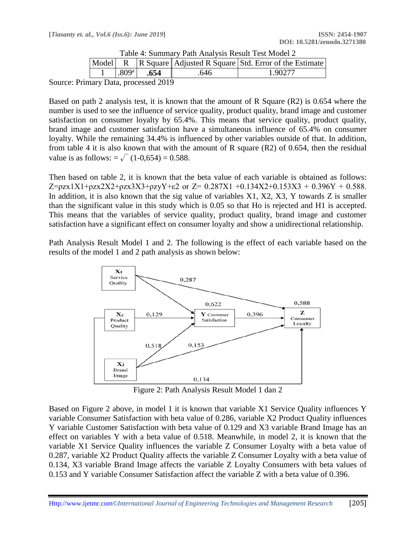|  |                   |      |     | Model R R Square Adjusted R Square Std. Error of the Estimate |  |  |  |  |
|--|-------------------|------|-----|---------------------------------------------------------------|--|--|--|--|
|  | .809 <sup>a</sup> | .654 | 646 | . 90277                                                       |  |  |  |  |
|  |                   |      |     |                                                               |  |  |  |  |

| Table 4: Summary Path Analysis Result Test Model 2 |
|----------------------------------------------------|
|                                                    |

Source: Primary Data, processed 2019

Based on path 2 analysis test, it is known that the amount of R Square (R2) is 0.654 where the number is used to see the influence of service quality, product quality, brand image and customer satisfaction on consumer loyalty by 65.4%. This means that service quality, product quality, brand image and customer satisfaction have a simultaneous influence of 65.4% on consumer loyalty. While the remaining 34.4% is influenced by other variables outside of that. In addition, from table 4 it is also known that with the amount of R square (R2) of 0.654, then the residual value is as follows:  $=\sqrt{(1-0.654)} = 0.588$ .

Then based on table 2, it is known that the beta value of each variable is obtained as follows: Z= $\rho$ zx1X1+ $\rho$ zx2X2+ $\rho$ zx3X3+ $\rho$ zyY+ $\varepsilon$ 2 or Z= 0.287X1 +0.134X2+0.153X3 + 0.396Y + 0.588. In addition, it is also known that the sig value of variables  $X1, X2, X3, Y$  towards Z is smaller than the significant value in this study which is 0.05 so that Ho is rejected and H1 is accepted. This means that the variables of service quality, product quality, brand image and customer satisfaction have a significant effect on consumer loyalty and show a unidirectional relationship.

Path Analysis Result Model 1 and 2. The following is the effect of each variable based on the results of the model 1 and 2 path analysis as shown below:



Figure 2: Path Analysis Result Model 1 dan 2

Based on Figure 2 above, in model 1 it is known that variable X1 Service Quality influences Y variable Consumer Satisfaction with beta value of 0.286, variable X2 Product Quality influences Y variable Customer Satisfaction with beta value of 0.129 and X3 variable Brand Image has an effect on variables Y with a beta value of 0.518. Meanwhile, in model 2, it is known that the variable X1 Service Quality influences the variable Z Consumer Loyalty with a beta value of 0.287, variable X2 Product Quality affects the variable Z Consumer Loyalty with a beta value of 0.134, X3 variable Brand Image affects the variable Z Loyalty Consumers with beta values of 0.153 and Y variable Consumer Satisfaction affect the variable Z with a beta value of 0.396.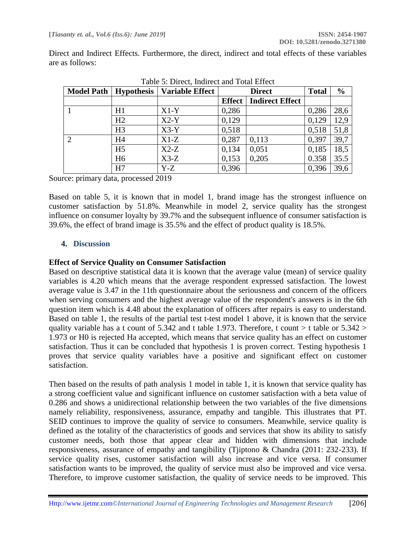Direct and Indirect Effects. Furthermore, the direct, indirect and total effects of these variables are as follows:

|                | Model Path   Hypothesis | Table 9. Dheet, muneet and Total Lifect<br><b>Variable Effect</b> |               | <b>Direct</b>          | <b>Total</b> | $\frac{0}{0}$ |
|----------------|-------------------------|-------------------------------------------------------------------|---------------|------------------------|--------------|---------------|
|                |                         |                                                                   | <b>Effect</b> | <b>Indirect Effect</b> |              |               |
|                | H1                      | $X1-Y$                                                            | 0,286         |                        | 0,286        | 28,6          |
|                | H2                      | $X2-Y$                                                            | 0,129         |                        | 0,129        | 12,9          |
|                | H <sub>3</sub>          | $X3-Y$                                                            | 0,518         |                        | 0,518        | 51,8          |
| $\overline{2}$ | H <sub>4</sub>          | $X1-Z$                                                            | 0,287         | 0,113                  | 0,397        | 39,7          |
|                | H <sub>5</sub>          | $X2-Z$                                                            | 0,134         | 0,051                  | 0,185        | 18,5          |
|                | H <sub>6</sub>          | $X3-Z$                                                            | 0,153         | 0,205                  | 0.358        | 35.5          |
|                | H7                      | Y-Z                                                               | 0,396         |                        | 0,396        | 39,6          |

Table 5: Direct, Indirect and Total Effect

Source: primary data, processed 2019

Based on table 5, it is known that in model 1, brand image has the strongest influence on customer satisfaction by 51.8%. Meanwhile in model 2, service quality has the strongest influence on consumer loyalty by 39.7% and the subsequent influence of consumer satisfaction is 39.6%, the effect of brand image is 35.5% and the effect of product quality is 18.5%.

#### **4. Discussion**

#### **Effect of Service Quality on Consumer Satisfaction**

Based on descriptive statistical data it is known that the average value (mean) of service quality variables is 4.20 which means that the average respondent expressed satisfaction. The lowest average value is 3.47 in the 11th questionnaire about the seriousness and concern of the officers when serving consumers and the highest average value of the respondent's answers is in the 6th question item which is 4.48 about the explanation of officers after repairs is easy to understand. Based on table 1, the results of the partial test t-test model 1 above, it is known that the service quality variable has a t count of 5.342 and t table 1.973. Therefore, t count  $>$  t table or 5.342  $>$ 1.973 or H0 is rejected Ha accepted, which means that service quality has an effect on customer satisfaction. Thus it can be concluded that hypothesis 1 is proven correct. Testing hypothesis 1 proves that service quality variables have a positive and significant effect on customer satisfaction.

Then based on the results of path analysis 1 model in table 1, it is known that service quality has a strong coefficient value and significant influence on customer satisfaction with a beta value of 0.286 and shows a unidirectional relationship between the two variables of the five dimensions namely reliability, responsiveness, assurance, empathy and tangible. This illustrates that PT. SEID continues to improve the quality of service to consumers. Meanwhile, service quality is defined as the totality of the characteristics of goods and services that show its ability to satisfy customer needs, both those that appear clear and hidden with dimensions that include responsiveness, assurance of empathy and tangibility (Tjiptono & Chandra (2011: 232-233). If service quality rises, customer satisfaction will also increase and vice versa. If consumer satisfaction wants to be improved, the quality of service must also be improved and vice versa. Therefore, to improve customer satisfaction, the quality of service needs to be improved. This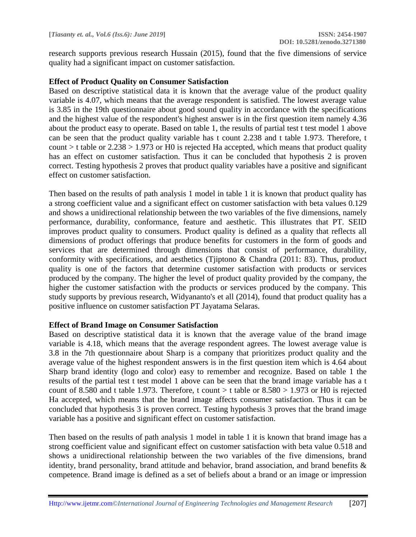research supports previous research Hussain (2015), found that the five dimensions of service quality had a significant impact on customer satisfaction.

#### **Effect of Product Quality on Consumer Satisfaction**

Based on descriptive statistical data it is known that the average value of the product quality variable is 4.07, which means that the average respondent is satisfied. The lowest average value is 3.85 in the 19th questionnaire about good sound quality in accordance with the specifications and the highest value of the respondent's highest answer is in the first question item namely 4.36 about the product easy to operate. Based on table 1, the results of partial test t test model 1 above can be seen that the product quality variable has t count 2.238 and t table 1.973. Therefore, t count > t table or  $2.238 > 1.973$  or H0 is rejected Ha accepted, which means that product quality has an effect on customer satisfaction. Thus it can be concluded that hypothesis 2 is proven correct. Testing hypothesis 2 proves that product quality variables have a positive and significant effect on customer satisfaction.

Then based on the results of path analysis 1 model in table 1 it is known that product quality has a strong coefficient value and a significant effect on customer satisfaction with beta values 0.129 and shows a unidirectional relationship between the two variables of the five dimensions, namely performance, durability, conformance, feature and aesthetic. This illustrates that PT. SEID improves product quality to consumers. Product quality is defined as a quality that reflects all dimensions of product offerings that produce benefits for customers in the form of goods and services that are determined through dimensions that consist of performance, durability, conformity with specifications, and aesthetics (Tjiptono & Chandra (2011: 83). Thus, product quality is one of the factors that determine customer satisfaction with products or services produced by the company. The higher the level of product quality provided by the company, the higher the customer satisfaction with the products or services produced by the company. This study supports by previous research, Widyananto's et all (2014), found that product quality has a positive influence on customer satisfaction PT Jayatama Selaras.

#### **Effect of Brand Image on Consumer Satisfaction**

Based on descriptive statistical data it is known that the average value of the brand image variable is 4.18, which means that the average respondent agrees. The lowest average value is 3.8 in the 7th questionnaire about Sharp is a company that prioritizes product quality and the average value of the highest respondent answers is in the first question item which is 4.64 about Sharp brand identity (logo and color) easy to remember and recognize. Based on table 1 the results of the partial test t test model 1 above can be seen that the brand image variable has a t count of 8.580 and t table 1.973. Therefore, t count  $>$  t table or 8.580  $>$  1.973 or H0 is rejected Ha accepted, which means that the brand image affects consumer satisfaction. Thus it can be concluded that hypothesis 3 is proven correct. Testing hypothesis 3 proves that the brand image variable has a positive and significant effect on customer satisfaction.

Then based on the results of path analysis 1 model in table 1 it is known that brand image has a strong coefficient value and significant effect on customer satisfaction with beta value 0.518 and shows a unidirectional relationship between the two variables of the five dimensions, brand identity, brand personality, brand attitude and behavior, brand association, and brand benefits & competence. Brand image is defined as a set of beliefs about a brand or an image or impression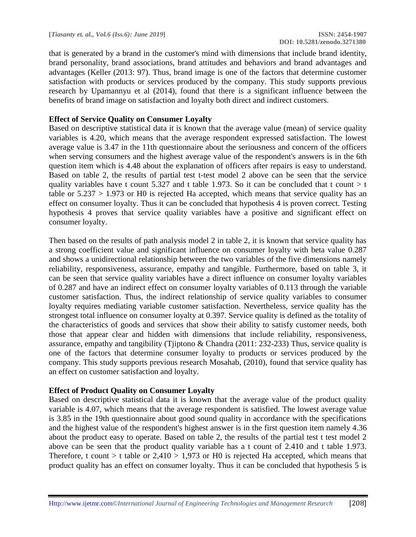that is generated by a brand in the customer's mind with dimensions that include brand identity, brand personality, brand associations, brand attitudes and behaviors and brand advantages and advantages (Keller (2013: 97). Thus, brand image is one of the factors that determine customer satisfaction with products or services produced by the company. This study supports previous research by Upamannyu et al (2014), found that there is a significant influence between the benefits of brand image on satisfaction and loyalty both direct and indirect customers.

#### **Effect of Service Quality on Consumer Loyalty**

Based on descriptive statistical data it is known that the average value (mean) of service quality variables is 4.20, which means that the average respondent expressed satisfaction. The lowest average value is 3.47 in the 11th questionnaire about the seriousness and concern of the officers when serving consumers and the highest average value of the respondent's answers is in the 6th question item which is 4.48 about the explanation of officers after repairs is easy to understand. Based on table 2, the results of partial test t-test model 2 above can be seen that the service quality variables have t count 5.327 and t table 1.973. So it can be concluded that t count  $> t$ table or  $5.237 > 1.973$  or H0 is rejected Ha accepted, which means that service quality has an effect on consumer loyalty. Thus it can be concluded that hypothesis 4 is proven correct. Testing hypothesis 4 proves that service quality variables have a positive and significant effect on consumer loyalty.

Then based on the results of path analysis model 2 in table 2, it is known that service quality has a strong coefficient value and significant influence on consumer loyalty with beta value 0.287 and shows a unidirectional relationship between the two variables of the five dimensions namely reliability, responsiveness, assurance, empathy and tangible. Furthermore, based on table 3, it can be seen that service quality variables have a direct influence on consumer loyalty variables of 0.287 and have an indirect effect on consumer loyalty variables of 0.113 through the variable customer satisfaction. Thus, the indirect relationship of service quality variables to consumer loyalty requires mediating variable customer satisfaction. Nevertheless, service quality has the strongest total influence on consumer loyalty at 0.397. Service quality is defined as the totality of the characteristics of goods and services that show their ability to satisfy customer needs, both those that appear clear and hidden with dimensions that include reliability, responsiveness, assurance, empathy and tangibility (Tjiptono & Chandra (2011: 232-233) Thus, service quality is one of the factors that determine consumer loyalty to products or services produced by the company. This study supports previous research Mosahab, (2010), found that service quality has an effect on customer satisfaction and loyalty.

#### **Effect of Product Quality on Consumer Loyalty**

Based on descriptive statistical data it is known that the average value of the product quality variable is 4.07, which means that the average respondent is satisfied. The lowest average value is 3.85 in the 19th questionnaire about good sound quality in accordance with the specifications and the highest value of the respondent's highest answer is in the first question item namely 4.36 about the product easy to operate. Based on table 2, the results of the partial test t test model 2 above can be seen that the product quality variable has a t count of 2.410 and t table 1.973. Therefore, t count  $>$  t table or 2,410  $>$  1,973 or H0 is rejected Ha accepted, which means that product quality has an effect on consumer loyalty. Thus it can be concluded that hypothesis 5 is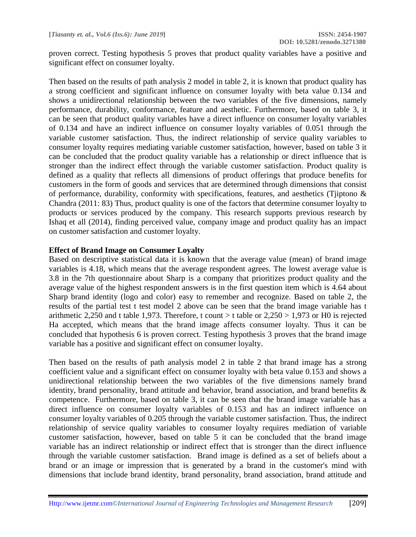proven correct. Testing hypothesis 5 proves that product quality variables have a positive and significant effect on consumer loyalty.

Then based on the results of path analysis 2 model in table 2, it is known that product quality has a strong coefficient and significant influence on consumer loyalty with beta value 0.134 and shows a unidirectional relationship between the two variables of the five dimensions, namely performance, durability, conformance, feature and aesthetic. Furthermore, based on table 3, it can be seen that product quality variables have a direct influence on consumer loyalty variables of 0.134 and have an indirect influence on consumer loyalty variables of 0.051 through the variable customer satisfaction. Thus, the indirect relationship of service quality variables to consumer loyalty requires mediating variable customer satisfaction, however, based on table 3 it can be concluded that the product quality variable has a relationship or direct influence that is stronger than the indirect effect through the variable customer satisfaction. Product quality is defined as a quality that reflects all dimensions of product offerings that produce benefits for customers in the form of goods and services that are determined through dimensions that consist of performance, durability, conformity with specifications, features, and aesthetics (Tjiptono & Chandra (2011: 83) Thus, product quality is one of the factors that determine consumer loyalty to products or services produced by the company. This research supports previous research by Ishaq et all (2014), finding perceived value, company image and product quality has an impact on customer satisfaction and customer loyalty.

#### **Effect of Brand Image on Consumer Loyalty**

Based on descriptive statistical data it is known that the average value (mean) of brand image variables is 4.18, which means that the average respondent agrees. The lowest average value is 3.8 in the 7th questionnaire about Sharp is a company that prioritizes product quality and the average value of the highest respondent answers is in the first question item which is 4.64 about Sharp brand identity (logo and color) easy to remember and recognize. Based on table 2, the results of the partial test t test model 2 above can be seen that the brand image variable has t arithmetic 2,250 and t table 1,973. Therefore, t count  $>$  t table or 2,250  $>$  1,973 or H0 is rejected Ha accepted, which means that the brand image affects consumer loyalty. Thus it can be concluded that hypothesis 6 is proven correct. Testing hypothesis 3 proves that the brand image variable has a positive and significant effect on consumer loyalty.

Then based on the results of path analysis model 2 in table 2 that brand image has a strong coefficient value and a significant effect on consumer loyalty with beta value 0.153 and shows a unidirectional relationship between the two variables of the five dimensions namely brand identity, brand personality, brand attitude and behavior, brand association, and brand benefits & competence. Furthermore, based on table 3, it can be seen that the brand image variable has a direct influence on consumer loyalty variables of 0.153 and has an indirect influence on consumer loyalty variables of 0.205 through the variable customer satisfaction. Thus, the indirect relationship of service quality variables to consumer loyalty requires mediation of variable customer satisfaction, however, based on table 5 it can be concluded that the brand image variable has an indirect relationship or indirect effect that is stronger than the direct influence through the variable customer satisfaction. Brand image is defined as a set of beliefs about a brand or an image or impression that is generated by a brand in the customer's mind with dimensions that include brand identity, brand personality, brand association, brand attitude and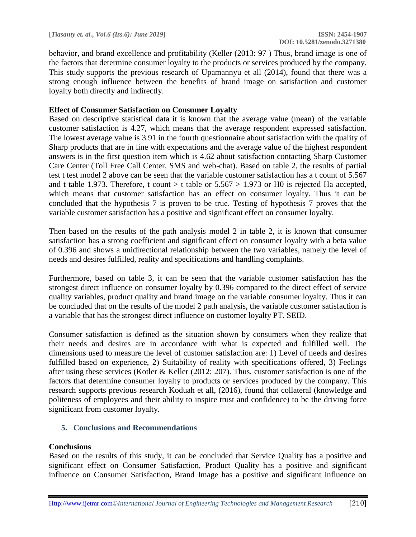behavior, and brand excellence and profitability (Keller (2013: 97 ) Thus, brand image is one of the factors that determine consumer loyalty to the products or services produced by the company. This study supports the previous research of Upamannyu et all (2014), found that there was a strong enough influence between the benefits of brand image on satisfaction and customer loyalty both directly and indirectly.

## **Effect of Consumer Satisfaction on Consumer Loyalty**

Based on descriptive statistical data it is known that the average value (mean) of the variable customer satisfaction is 4.27, which means that the average respondent expressed satisfaction. The lowest average value is 3.91 in the fourth questionnaire about satisfaction with the quality of Sharp products that are in line with expectations and the average value of the highest respondent answers is in the first question item which is 4.62 about satisfaction contacting Sharp Customer Care Center (Toll Free Call Center, SMS and web-chat). Based on table 2, the results of partial test t test model 2 above can be seen that the variable customer satisfaction has a t count of 5.567 and t table 1.973. Therefore, t count  $>$  t table or 5.567  $>$  1.973 or H0 is rejected Ha accepted, which means that customer satisfaction has an effect on consumer loyalty. Thus it can be concluded that the hypothesis 7 is proven to be true. Testing of hypothesis 7 proves that the variable customer satisfaction has a positive and significant effect on consumer loyalty.

Then based on the results of the path analysis model 2 in table 2, it is known that consumer satisfaction has a strong coefficient and significant effect on consumer loyalty with a beta value of 0.396 and shows a unidirectional relationship between the two variables, namely the level of needs and desires fulfilled, reality and specifications and handling complaints.

Furthermore, based on table 3, it can be seen that the variable customer satisfaction has the strongest direct influence on consumer loyalty by 0.396 compared to the direct effect of service quality variables, product quality and brand image on the variable consumer loyalty. Thus it can be concluded that on the results of the model 2 path analysis, the variable customer satisfaction is a variable that has the strongest direct influence on customer loyalty PT. SEID.

Consumer satisfaction is defined as the situation shown by consumers when they realize that their needs and desires are in accordance with what is expected and fulfilled well. The dimensions used to measure the level of customer satisfaction are: 1) Level of needs and desires fulfilled based on experience, 2) Suitability of reality with specifications offered, 3) Feelings after using these services (Kotler & Keller (2012: 207). Thus, customer satisfaction is one of the factors that determine consumer loyalty to products or services produced by the company. This research supports previous research Koduah et all, (2016), found that collateral (knowledge and politeness of employees and their ability to inspire trust and confidence) to be the driving force significant from customer loyalty.

## **5. Conclusions and Recommendations**

## **Conclusions**

Based on the results of this study, it can be concluded that Service Quality has a positive and significant effect on Consumer Satisfaction, Product Quality has a positive and significant influence on Consumer Satisfaction, Brand Image has a positive and significant influence on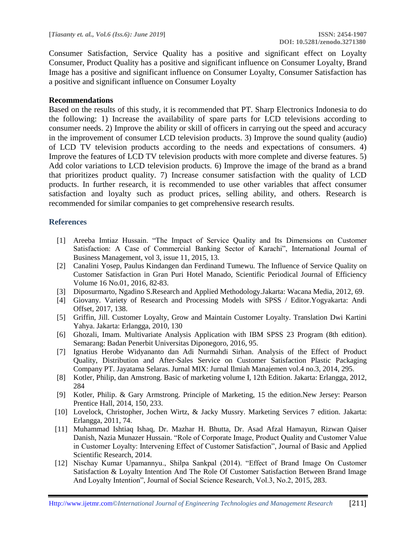Consumer Satisfaction, Service Quality has a positive and significant effect on Loyalty Consumer, Product Quality has a positive and significant influence on Consumer Loyalty, Brand Image has a positive and significant influence on Consumer Loyalty, Consumer Satisfaction has a positive and significant influence on Consumer Loyalty

#### **Recommendations**

Based on the results of this study, it is recommended that PT. Sharp Electronics Indonesia to do the following: 1) Increase the availability of spare parts for LCD televisions according to consumer needs. 2) Improve the ability or skill of officers in carrying out the speed and accuracy in the improvement of consumer LCD television products. 3) Improve the sound quality (audio) of LCD TV television products according to the needs and expectations of consumers. 4) Improve the features of LCD TV television products with more complete and diverse features. 5) Add color variations to LCD television products. 6) Improve the image of the brand as a brand that prioritizes product quality. 7) Increase consumer satisfaction with the quality of LCD products. In further research, it is recommended to use other variables that affect consumer satisfaction and loyalty such as product prices, selling ability, and others. Research is recommended for similar companies to get comprehensive research results.

#### **References**

- [1] Areeba Imtiaz Hussain. "The Impact of Service Quality and Its Dimensions on Customer Satisfaction: A Case of Commercial Banking Sector of Karachi", International Journal of Business Management, vol 3, issue 11, 2015, 13.
- [2] Canalini Yosep, Paulus Kindangen dan Ferdinand Tumewu. The Influence of Service Quality on Customer Satisfaction in Gran Puri Hotel Manado, Scientific Periodical Journal of Efficiency Volume 16 No.01, 2016, 82-83.
- [3] Diposurmarto, Ngadino S.Research and Applied Methodology.Jakarta: Wacana Media, 2012, 69.
- [4] Giovany. Variety of Research and Processing Models with SPSS / Editor.Yogyakarta: Andi Offset, 2017, 138.
- [5] Griffin, Jill. Customer Loyalty, Grow and Maintain Customer Loyalty. Translation Dwi Kartini Yahya. Jakarta: Erlangga, 2010, 130
- [6] Ghozali, Imam. Multivariate Analysis Application with IBM SPSS 23 Program (8th edition). Semarang: Badan Penerbit Universitas Diponegoro, 2016, 95.
- [7] Ignatius Herobe Widyananto dan Adi Nurmahdi Sirhan. Analysis of the Effect of Product Quality, Distribution and After-Sales Service on Customer Satisfaction Plastic Packaging Company PT. Jayatama Selaras. Jurnal MIX: Jurnal Ilmiah Manajemen vol.4 no.3, 2014, 295.
- [8] Kotler, Philip, dan Amstrong. Basic of marketing volume I, 12th Edition. Jakarta: Erlangga, 2012, 284
- [9] Kotler, Philip. & Gary Armstrong. Principle of Marketing, 15 the edition.New Jersey: Pearson Prentice Hall, 2014, 150, 233.
- [10] Lovelock, Christopher, Jochen Wirtz, & Jacky Mussry. Marketing Services 7 edition. Jakarta: Erlangga, 2011, 74.
- [11] Muhammad Ishtiaq Ishaq, Dr. Mazhar H. Bhutta, Dr. Asad Afzal Hamayun, Rizwan Qaiser Danish, Nazia Munazer Hussain. "Role of Corporate Image, Product Quality and Customer Value in Customer Loyalty: Intervening Effect of Customer Satisfaction", Journal of Basic and Applied Scientific Research, 2014.
- [12] Nischay Kumar Upamannyu., Shilpa Sankpal (2014). "Effect of Brand Image On Customer Satisfaction & Loyalty Intention And The Role Of Customer Satisfaction Between Brand Image And Loyalty Intention", Journal of Social Science Research, Vol.3, No.2, 2015, 283.